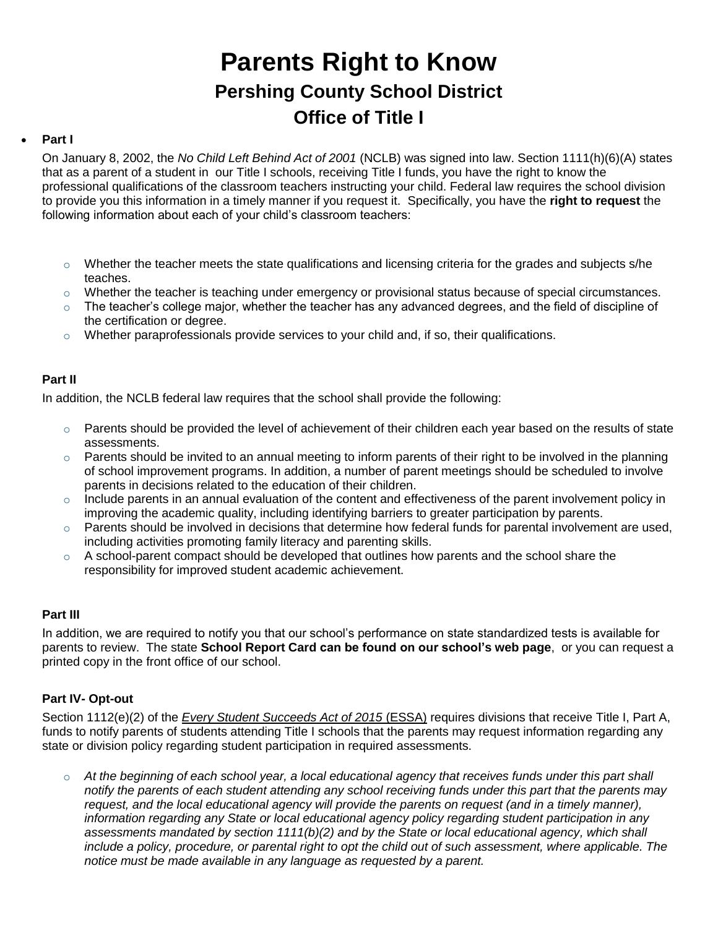# **Parents Right to Know Pershing County School District Office of Title I**

## **Part I**

On January 8, 2002, the *No Child Left Behind Act of 2001* (NCLB) was signed into law. Section 1111(h)(6)(A) states that as a parent of a student in our Title I schools, receiving Title I funds, you have the right to know the professional qualifications of the classroom teachers instructing your child. Federal law requires the school division to provide you this information in a timely manner if you request it. Specifically, you have the **right to request** the following information about each of your child's classroom teachers:

- o Whether the teacher meets the state qualifications and licensing criteria for the grades and subjects s/he teaches.
- $\circ$  Whether the teacher is teaching under emergency or provisional status because of special circumstances.
- $\circ$  The teacher's college major, whether the teacher has any advanced degrees, and the field of discipline of the certification or degree.
- o Whether paraprofessionals provide services to your child and, if so, their qualifications.

## **Part II**

In addition, the NCLB federal law requires that the school shall provide the following:

- $\circ$  Parents should be provided the level of achievement of their children each year based on the results of state assessments.
- $\circ$  Parents should be invited to an annual meeting to inform parents of their right to be involved in the planning of school improvement programs. In addition, a number of parent meetings should be scheduled to involve parents in decisions related to the education of their children.
- $\circ$  Include parents in an annual evaluation of the content and effectiveness of the parent involvement policy in improving the academic quality, including identifying barriers to greater participation by parents.
- $\circ$  Parents should be involved in decisions that determine how federal funds for parental involvement are used, including activities promoting family literacy and parenting skills.
- $\circ$  A school-parent compact should be developed that outlines how parents and the school share the responsibility for improved student academic achievement.

### **Part III**

In addition, we are required to notify you that our school's performance on state standardized tests is available for parents to review. The state **School Report Card can be found on our school's web page**, or you can request a printed copy in the front office of our school.

### **Part IV- Opt-out**

Section 1112(e)(2) of the *[Every Student Succeeds Act of 2015](https://www.gpo.gov/fdsys/pkg/BILLS-114s1177enr/pdf/BILLS-114s1177enr.pdf)* (ESSA) requires divisions that receive Title I, Part A, funds to notify parents of students attending Title I schools that the parents may request information regarding any state or division policy regarding student participation in required assessments.

o *At the beginning of each school year, a local educational agency that receives funds under this part shall notify the parents of each student attending any school receiving funds under this part that the parents may request, and the local educational agency will provide the parents on request (and in a timely manner), information regarding any State or local educational agency policy regarding student participation in any assessments mandated by section 1111(b)(2) and by the State or local educational agency, which shall include a policy, procedure, or parental right to opt the child out of such assessment, where applicable. The notice must be made available in any language as requested by a parent.*